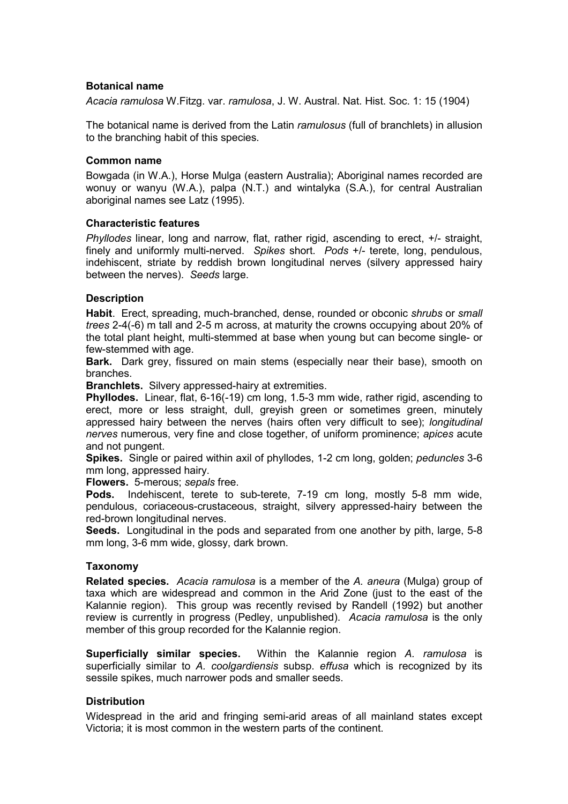## **Botanical name**

*Acacia ramulosa* W.Fitzg. var. *ramulosa*, J. W. Austral. Nat. Hist. Soc. 1: 15 (1904)

The botanical name is derived from the Latin *ramulosus* (full of branchlets) in allusion to the branching habit of this species.

#### **Common name**

Bowgada (in W.A.), Horse Mulga (eastern Australia); Aboriginal names recorded are wonuy or wanyu (W.A.), palpa (N.T.) and wintalyka (S.A.), for central Australian aboriginal names see Latz (1995).

## **Characteristic features**

*Phyllodes* linear, long and narrow, flat, rather rigid, ascending to erect, +/- straight, finely and uniformly multi-nerved. *Spikes* short. *Pods* +/- terete, long, pendulous, indehiscent, striate by reddish brown longitudinal nerves (silvery appressed hairy between the nerves). *Seeds* large.

## **Description**

**Habit**. Erect, spreading, much-branched, dense, rounded or obconic *shrubs* or *small trees* 2-4(-6) m tall and 2-5 m across, at maturity the crowns occupying about 20% of the total plant height, multi-stemmed at base when young but can become single- or few-stemmed with age.

**Bark.** Dark grey, fissured on main stems (especially near their base), smooth on branches.

**Branchlets.** Silvery appressed-hairy at extremities.

**Phyllodes.** Linear, flat, 6-16(-19) cm long, 1.5-3 mm wide, rather rigid, ascending to erect, more or less straight, dull, greyish green or sometimes green, minutely appressed hairy between the nerves (hairs often very difficult to see); *longitudinal nerves* numerous, very fine and close together, of uniform prominence; *apices* acute and not pungent.

**Spikes.** Single or paired within axil of phyllodes, 1-2 cm long, golden; *peduncles* 3-6 mm long, appressed hairy.

**Flowers.** 5-merous; *sepals* free.

**Pods.** Indehiscent, terete to sub-terete, 7-19 cm long, mostly 5-8 mm wide, pendulous, coriaceous-crustaceous, straight, silvery appressed-hairy between the red-brown longitudinal nerves.

**Seeds.** Longitudinal in the pods and separated from one another by pith, large, 5-8 mm long, 3-6 mm wide, glossy, dark brown.

## **Taxonomy**

**Related species.** *Acacia ramulosa* is a member of the *A. aneura* (Mulga) group of taxa which are widespread and common in the Arid Zone (just to the east of the Kalannie region). This group was recently revised by Randell (1992) but another review is currently in progress (Pedley, unpublished). *Acacia ramulosa* is the only member of this group recorded for the Kalannie region.

**Superficially similar species.** Within the Kalannie region *A. ramulosa* is superficially similar to *A. coolgardiensis* subsp. *effusa* which is recognized by its sessile spikes, much narrower pods and smaller seeds.

## **Distribution**

Widespread in the arid and fringing semi-arid areas of all mainland states except Victoria; it is most common in the western parts of the continent.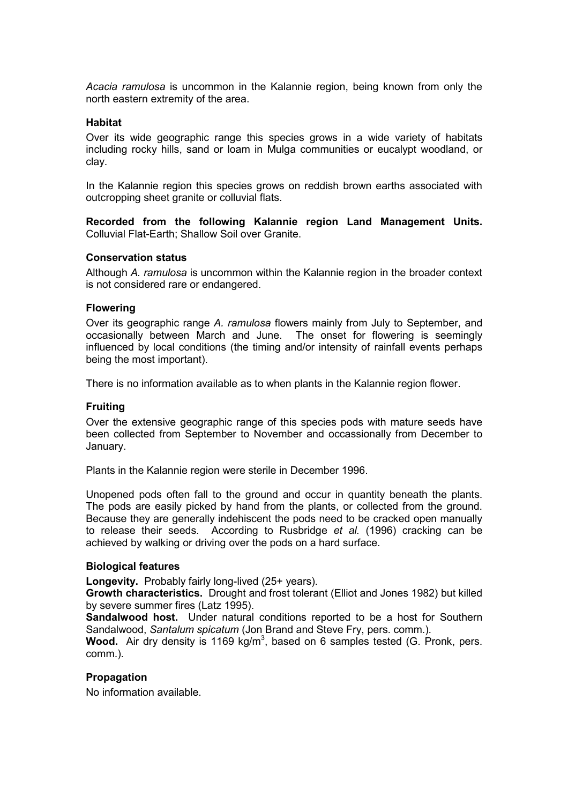*Acacia ramulosa* is uncommon in the Kalannie region, being known from only the north eastern extremity of the area.

#### **Habitat**

Over its wide geographic range this species grows in a wide variety of habitats including rocky hills, sand or loam in Mulga communities or eucalypt woodland, or clay.

In the Kalannie region this species grows on reddish brown earths associated with outcropping sheet granite or colluvial flats.

**Recorded from the following Kalannie region Land Management Units.**  Colluvial Flat-Earth; Shallow Soil over Granite.

#### **Conservation status**

Although *A. ramulosa* is uncommon within the Kalannie region in the broader context is not considered rare or endangered.

#### **Flowering**

Over its geographic range *A. ramulosa* flowers mainly from July to September, and occasionally between March and June. The onset for flowering is seemingly influenced by local conditions (the timing and/or intensity of rainfall events perhaps being the most important).

There is no information available as to when plants in the Kalannie region flower.

#### **Fruiting**

Over the extensive geographic range of this species pods with mature seeds have been collected from September to November and occassionally from December to January.

Plants in the Kalannie region were sterile in December 1996.

Unopened pods often fall to the ground and occur in quantity beneath the plants. The pods are easily picked by hand from the plants, or collected from the ground. Because they are generally indehiscent the pods need to be cracked open manually to release their seeds. According to Rusbridge *et al.* (1996) cracking can be achieved by walking or driving over the pods on a hard surface.

#### **Biological features**

**Longevity.** Probably fairly long-lived (25+ years).

**Growth characteristics.** Drought and frost tolerant (Elliot and Jones 1982) but killed by severe summer fires (Latz 1995).

**Sandalwood host.** Under natural conditions reported to be a host for Southern Sandalwood, *Santalum spicatum* (Jon Brand and Steve Fry, pers. comm.).

Wood. Air dry density is 1169 kg/m<sup>3</sup>, based on 6 samples tested (G. Pronk, pers. comm.).

# **Propagation**

No information available.